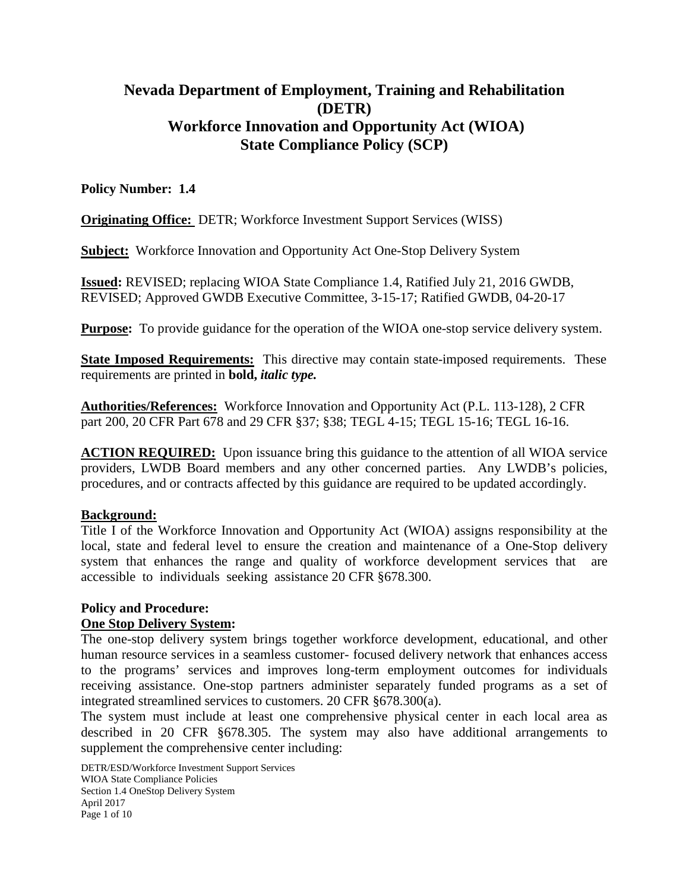# **Nevada Department of Employment, Training and Rehabilitation (DETR) Workforce Innovation and Opportunity Act (WIOA) State Compliance Policy (SCP)**

## **Policy Number: 1.4**

**Originating Office:** DETR; Workforce Investment Support Services (WISS)

**Subject:** Workforce Innovation and Opportunity Act One-Stop Delivery System

**Issued:** REVISED; replacing WIOA State Compliance 1.4, Ratified July 21, 2016 GWDB, REVISED; Approved GWDB Executive Committee, 3-15-17; Ratified GWDB, 04-20-17

**Purpose:** To provide guidance for the operation of the WIOA one-stop service delivery system.

**State Imposed Requirements:** This directive may contain state-imposed requirements. These requirements are printed in **bold,** *italic type.*

**Authorities/References:** Workforce Innovation and Opportunity Act (P.L. 113-128), 2 CFR part 200, 20 CFR Part 678 and 29 CFR §37; §38; TEGL 4-15; TEGL 15-16; TEGL 16-16.

**ACTION REQUIRED:** Upon issuance bring this guidance to the attention of all WIOA service providers, LWDB Board members and any other concerned parties. Any LWDB's policies, procedures, and or contracts affected by this guidance are required to be updated accordingly.

#### **Background:**

Title I of the Workforce Innovation and Opportunity Act (WIOA) assigns responsibility at the local, state and federal level to ensure the creation and maintenance of a One-Stop delivery system that enhances the range and quality of workforce development services that are accessible to individuals seeking assistance 20 CFR §678.300.

## **Policy and Procedure:**

#### **One Stop Delivery System:**

The one-stop delivery system brings together workforce development, educational, and other human resource services in a seamless customer- focused delivery network that enhances access to the programs' services and improves long-term employment outcomes for individuals receiving assistance. One-stop partners administer separately funded programs as a set of integrated streamlined services to customers. 20 CFR §678.300(a).

The system must include at least one comprehensive physical center in each local area as described in 20 CFR §678.305. The system may also have additional arrangements to supplement the comprehensive center including:

DETR/ESD/Workforce Investment Support Services WIOA State Compliance Policies Section 1.4 OneStop Delivery System April 2017 Page 1 of 10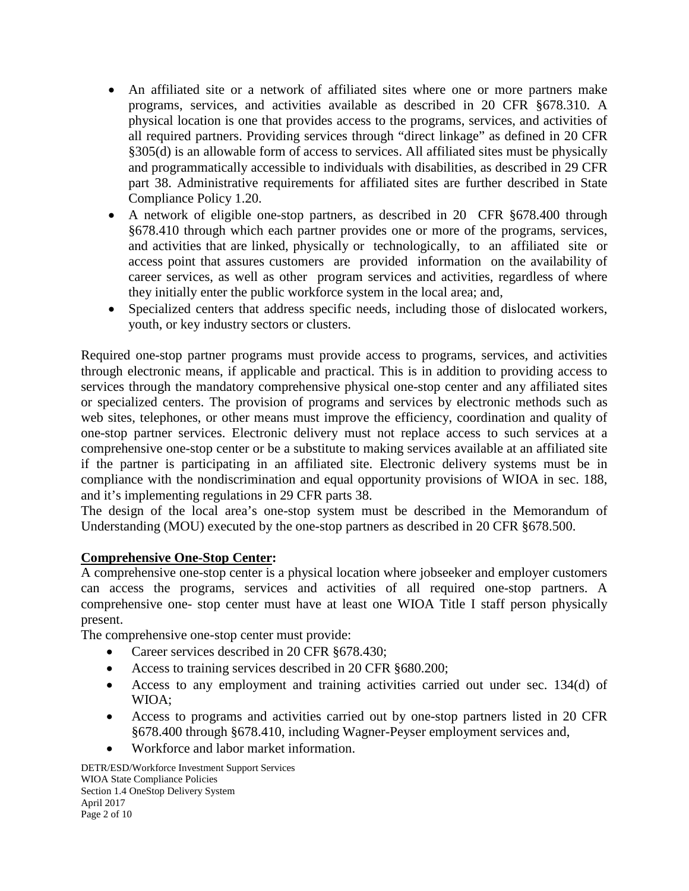- An affiliated site or a network of affiliated sites where one or more partners make programs, services, and activities available as described in 20 CFR §678.310. A physical location is one that provides access to the programs, services, and activities of all required partners. Providing services through "direct linkage" as defined in 20 CFR §305(d) is an allowable form of access to services. All affiliated sites must be physically and programmatically accessible to individuals with disabilities, as described in 29 CFR part 38. Administrative requirements for affiliated sites are further described in State Compliance Policy 1.20.
- A network of eligible one-stop partners, as described in 20 CFR §678.400 through §678.410 through which each partner provides one or more of the programs, services, and activities that are linked, physically or technologically, to an affiliated site or access point that assures customers are provided information on the availability of career services, as well as other program services and activities, regardless of where they initially enter the public workforce system in the local area; and,
- Specialized centers that address specific needs, including those of dislocated workers, youth, or key industry sectors or clusters.

Required one-stop partner programs must provide access to programs, services, and activities through electronic means, if applicable and practical. This is in addition to providing access to services through the mandatory comprehensive physical one-stop center and any affiliated sites or specialized centers. The provision of programs and services by electronic methods such as web sites, telephones, or other means must improve the efficiency, coordination and quality of one-stop partner services. Electronic delivery must not replace access to such services at a comprehensive one-stop center or be a substitute to making services available at an affiliated site if the partner is participating in an affiliated site. Electronic delivery systems must be in compliance with the nondiscrimination and equal opportunity provisions of WIOA in sec. 188, and it's implementing regulations in 29 CFR parts 38.

The design of the local area's one-stop system must be described in the Memorandum of Understanding (MOU) executed by the one-stop partners as described in 20 CFR §678.500.

## **Comprehensive One-Stop Center:**

A comprehensive one-stop center is a physical location where jobseeker and employer customers can access the programs, services and activities of all required one-stop partners. A comprehensive one- stop center must have at least one WIOA Title I staff person physically present.

The comprehensive one-stop center must provide:

- Career services described in 20 CFR §678.430;
- Access to training services described in 20 CFR §680.200;
- Access to any employment and training activities carried out under sec. 134(d) of WIOA;
- Access to programs and activities carried out by one-stop partners listed in 20 CFR §678.400 through §678.410, including Wagner-Peyser employment services and,
- Workforce and labor market information.

DETR/ESD/Workforce Investment Support Services WIOA State Compliance Policies Section 1.4 OneStop Delivery System April 2017 Page 2 of 10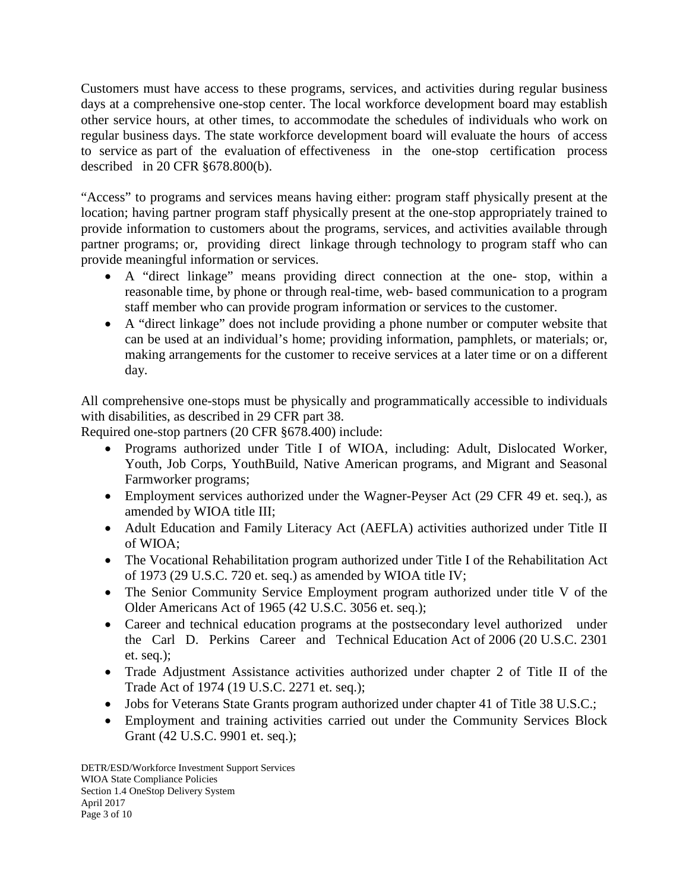Customers must have access to these programs, services, and activities during regular business days at a comprehensive one-stop center. The local workforce development board may establish other service hours, at other times, to accommodate the schedules of individuals who work on regular business days. The state workforce development board will evaluate the hours of access to service as part of the evaluation of effectiveness in the one-stop certification process described in 20 CFR §678.800(b).

"Access" to programs and services means having either: program staff physically present at the location; having partner program staff physically present at the one-stop appropriately trained to provide information to customers about the programs, services, and activities available through partner programs; or, providing direct linkage through technology to program staff who can provide meaningful information or services.

- A "direct linkage" means providing direct connection at the one- stop, within a reasonable time, by phone or through real-time, web- based communication to a program staff member who can provide program information or services to the customer.
- A "direct linkage" does not include providing a phone number or computer website that can be used at an individual's home; providing information, pamphlets, or materials; or, making arrangements for the customer to receive services at a later time or on a different day.

All comprehensive one-stops must be physically and programmatically accessible to individuals with disabilities, as described in 29 CFR part 38.

Required one-stop partners (20 CFR §678.400) include:

- Programs authorized under Title I of WIOA, including: Adult, Dislocated Worker, Youth, Job Corps, YouthBuild, Native American programs, and Migrant and Seasonal Farmworker programs;
- Employment services authorized under the Wagner-Peyser Act (29 CFR 49 et. seq.), as amended by WIOA title III;
- Adult Education and Family Literacy Act (AEFLA) activities authorized under Title II of WIOA;
- The Vocational Rehabilitation program authorized under Title I of the Rehabilitation Act of 1973 (29 U.S.C. 720 et. seq.) as amended by WIOA title IV;
- The Senior Community Service Employment program authorized under title V of the Older Americans Act of 1965 (42 U.S.C. 3056 et. seq.);
- Career and technical education programs at the postsecondary level authorized under the Carl D. Perkins Career and Technical Education Act of 2006 (20 U.S.C. 2301 et. seq.);
- Trade Adjustment Assistance activities authorized under chapter 2 of Title II of the Trade Act of 1974 (19 U.S.C. 2271 et. seq.);
- Jobs for Veterans State Grants program authorized under chapter 41 of Title 38 U.S.C.;
- Employment and training activities carried out under the Community Services Block Grant (42 U.S.C. 9901 et. seq.);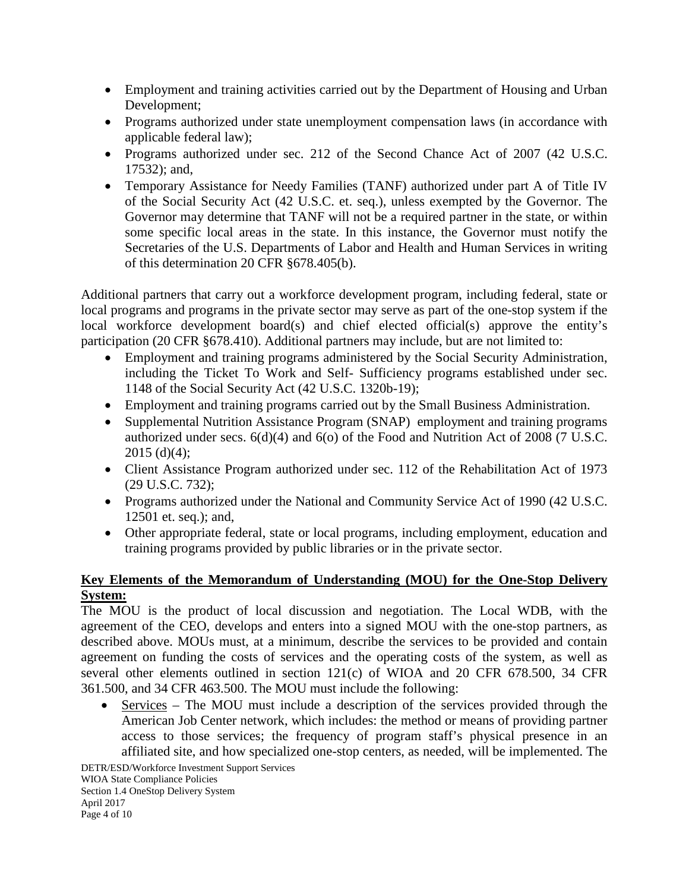- Employment and training activities carried out by the Department of Housing and Urban Development;
- Programs authorized under state unemployment compensation laws (in accordance with applicable federal law);
- Programs authorized under sec. 212 of the Second Chance Act of 2007 (42 U.S.C. 17532); and,
- Temporary Assistance for Needy Families (TANF) authorized under part A of Title IV of the Social Security Act (42 U.S.C. et. seq.), unless exempted by the Governor. The Governor may determine that TANF will not be a required partner in the state, or within some specific local areas in the state. In this instance, the Governor must notify the Secretaries of the U.S. Departments of Labor and Health and Human Services in writing of this determination 20 CFR §678.405(b).

Additional partners that carry out a workforce development program, including federal, state or local programs and programs in the private sector may serve as part of the one-stop system if the local workforce development board(s) and chief elected official(s) approve the entity's participation (20 CFR §678.410). Additional partners may include, but are not limited to:

- Employment and training programs administered by the Social Security Administration, including the Ticket To Work and Self- Sufficiency programs established under sec. 1148 of the Social Security Act (42 U.S.C. 1320b-19);
- Employment and training programs carried out by the Small Business Administration.
- Supplemental Nutrition Assistance Program (SNAP) employment and training programs authorized under secs.  $6(d)(4)$  and  $6(0)$  of the Food and Nutrition Act of 2008 (7 U.S.C.  $2015$  (d)(4);
- Client Assistance Program authorized under sec. 112 of the Rehabilitation Act of 1973 (29 U.S.C. 732);
- Programs authorized under the National and Community Service Act of 1990 (42 U.S.C. 12501 et. seq.); and,
- Other appropriate federal, state or local programs, including employment, education and training programs provided by public libraries or in the private sector.

# **Key Elements of the Memorandum of Understanding (MOU) for the One-Stop Delivery System:**

The MOU is the product of local discussion and negotiation. The Local WDB, with the agreement of the CEO, develops and enters into a signed MOU with the one-stop partners, as described above. MOUs must, at a minimum, describe the services to be provided and contain agreement on funding the costs of services and the operating costs of the system, as well as several other elements outlined in section 121(c) of WIOA and 20 CFR 678.500, 34 CFR 361.500, and 34 CFR 463.500. The MOU must include the following:

• Services – The MOU must include a description of the services provided through the American Job Center network, which includes: the method or means of providing partner access to those services; the frequency of program staff's physical presence in an affiliated site, and how specialized one-stop centers, as needed, will be implemented. The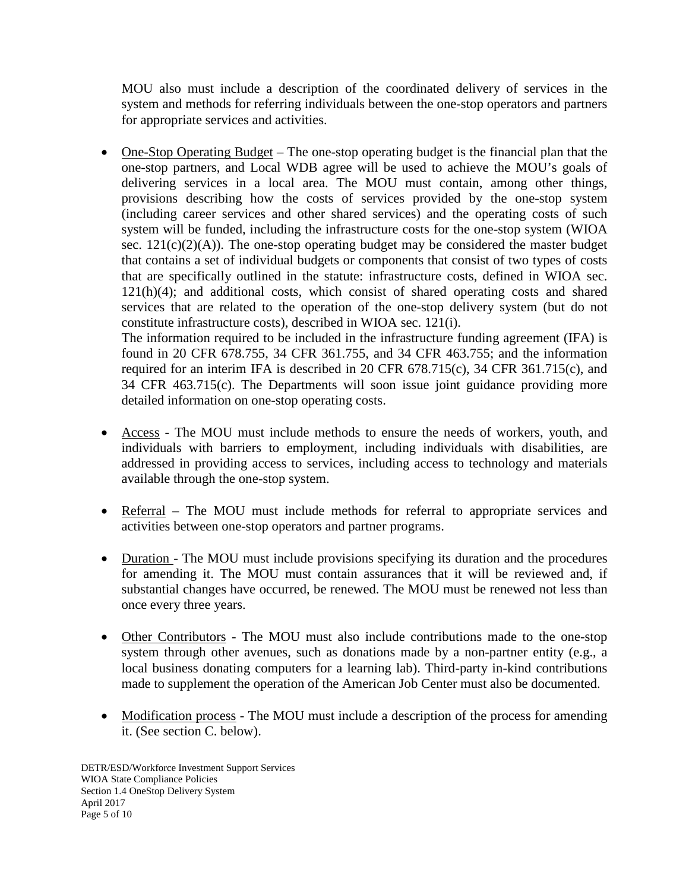MOU also must include a description of the coordinated delivery of services in the system and methods for referring individuals between the one-stop operators and partners for appropriate services and activities.

• One-Stop Operating Budget – The one-stop operating budget is the financial plan that the one-stop partners, and Local WDB agree will be used to achieve the MOU's goals of delivering services in a local area. The MOU must contain, among other things, provisions describing how the costs of services provided by the one-stop system (including career services and other shared services) and the operating costs of such system will be funded, including the infrastructure costs for the one-stop system (WIOA sec.  $121(c)(2)(A)$ ). The one-stop operating budget may be considered the master budget that contains a set of individual budgets or components that consist of two types of costs that are specifically outlined in the statute: infrastructure costs, defined in WIOA sec. 121(h)(4); and additional costs, which consist of shared operating costs and shared services that are related to the operation of the one-stop delivery system (but do not constitute infrastructure costs), described in WIOA sec. 121(i).

The information required to be included in the infrastructure funding agreement (IFA) is found in 20 CFR 678.755, 34 CFR 361.755, and 34 CFR 463.755; and the information required for an interim IFA is described in 20 CFR 678.715(c), 34 CFR 361.715(c), and 34 CFR 463.715(c). The Departments will soon issue joint guidance providing more detailed information on one-stop operating costs.

- Access The MOU must include methods to ensure the needs of workers, youth, and individuals with barriers to employment, including individuals with disabilities, are addressed in providing access to services, including access to technology and materials available through the one-stop system.
- Referral The MOU must include methods for referral to appropriate services and activities between one-stop operators and partner programs.
- Duration The MOU must include provisions specifying its duration and the procedures for amending it. The MOU must contain assurances that it will be reviewed and, if substantial changes have occurred, be renewed. The MOU must be renewed not less than once every three years.
- Other Contributors The MOU must also include contributions made to the one-stop system through other avenues, such as donations made by a non-partner entity (e.g., a local business donating computers for a learning lab). Third-party in-kind contributions made to supplement the operation of the American Job Center must also be documented.
- Modification process The MOU must include a description of the process for amending it. (See section C. below).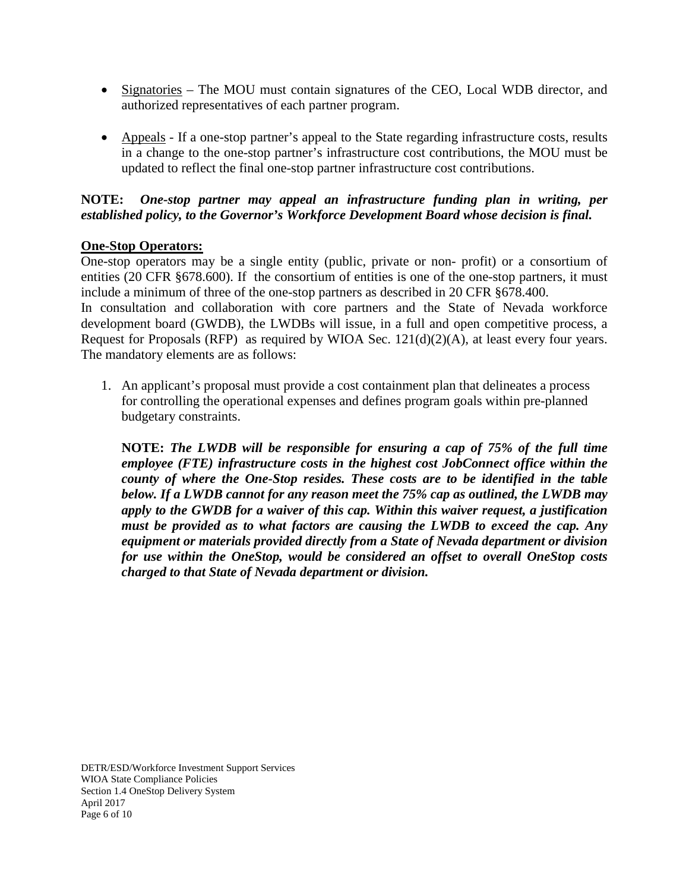- Signatories The MOU must contain signatures of the CEO, Local WDB director, and authorized representatives of each partner program.
- Appeals If a one-stop partner's appeal to the State regarding infrastructure costs, results in a change to the one-stop partner's infrastructure cost contributions, the MOU must be updated to reflect the final one-stop partner infrastructure cost contributions.

#### **NOTE:** *One-stop partner may appeal an infrastructure funding plan in writing, per established policy, to the Governor's Workforce Development Board whose decision is final.*

## **One-Stop Operators:**

One-stop operators may be a single entity (public, private or non- profit) or a consortium of entities (20 CFR §678.600). If the consortium of entities is one of the one-stop partners, it must include a minimum of three of the one-stop partners as described in 20 CFR §678.400.

In consultation and collaboration with core partners and the State of Nevada workforce development board (GWDB), the LWDBs will issue, in a full and open competitive process, a Request for Proposals (RFP) as required by WIOA Sec. 121(d)(2)(A), at least every four years. The mandatory elements are as follows:

1. An applicant's proposal must provide a cost containment plan that delineates a process for controlling the operational expenses and defines program goals within pre-planned budgetary constraints.

**NOTE:** *The LWDB will be responsible for ensuring a cap of 75% of the full time employee (FTE) infrastructure costs in the highest cost JobConnect office within the county of where the One-Stop resides. These costs are to be identified in the table below. If a LWDB cannot for any reason meet the 75% cap as outlined, the LWDB may apply to the GWDB for a waiver of this cap. Within this waiver request, a justification must be provided as to what factors are causing the LWDB to exceed the cap. Any equipment or materials provided directly from a State of Nevada department or division for use within the OneStop, would be considered an offset to overall OneStop costs charged to that State of Nevada department or division.*

DETR/ESD/Workforce Investment Support Services WIOA State Compliance Policies Section 1.4 OneStop Delivery System April 2017 Page 6 of 10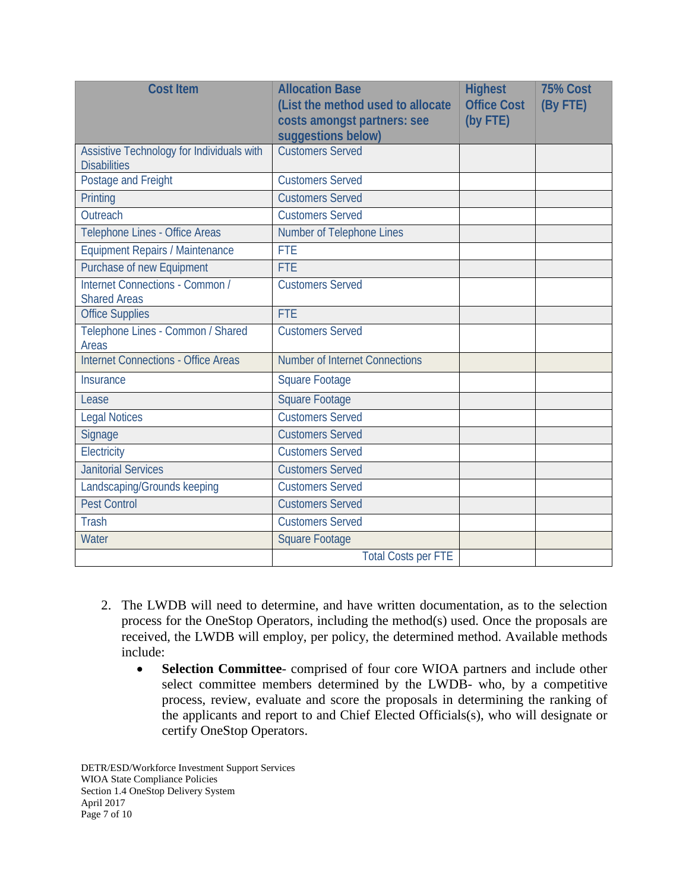| <b>Cost Item</b>                                                 | <b>Allocation Base</b><br>(List the method used to allocate<br>costs amongst partners: see<br>suggestions below) | <b>Highest</b><br><b>Office Cost</b><br>(by FTE) | <b>75% Cost</b><br>(By FTE) |
|------------------------------------------------------------------|------------------------------------------------------------------------------------------------------------------|--------------------------------------------------|-----------------------------|
| Assistive Technology for Individuals with<br><b>Disabilities</b> | <b>Customers Served</b>                                                                                          |                                                  |                             |
| Postage and Freight                                              | <b>Customers Served</b>                                                                                          |                                                  |                             |
| Printing                                                         | <b>Customers Served</b>                                                                                          |                                                  |                             |
| Outreach                                                         | <b>Customers Served</b>                                                                                          |                                                  |                             |
| Telephone Lines - Office Areas                                   | Number of Telephone Lines                                                                                        |                                                  |                             |
| <b>Equipment Repairs / Maintenance</b>                           | <b>FTE</b>                                                                                                       |                                                  |                             |
| Purchase of new Equipment                                        | <b>FTE</b>                                                                                                       |                                                  |                             |
| Internet Connections - Common /<br><b>Shared Areas</b>           | <b>Customers Served</b>                                                                                          |                                                  |                             |
| <b>Office Supplies</b>                                           | <b>FTE</b>                                                                                                       |                                                  |                             |
| Telephone Lines - Common / Shared<br>Areas                       | <b>Customers Served</b>                                                                                          |                                                  |                             |
| <b>Internet Connections - Office Areas</b>                       | <b>Number of Internet Connections</b>                                                                            |                                                  |                             |
| <b>Insurance</b>                                                 | <b>Square Footage</b>                                                                                            |                                                  |                             |
| Lease                                                            | <b>Square Footage</b>                                                                                            |                                                  |                             |
| <b>Legal Notices</b>                                             | <b>Customers Served</b>                                                                                          |                                                  |                             |
| Signage                                                          | <b>Customers Served</b>                                                                                          |                                                  |                             |
| Electricity                                                      | <b>Customers Served</b>                                                                                          |                                                  |                             |
| <b>Janitorial Services</b>                                       | <b>Customers Served</b>                                                                                          |                                                  |                             |
| Landscaping/Grounds keeping                                      | <b>Customers Served</b>                                                                                          |                                                  |                             |
| <b>Pest Control</b>                                              | <b>Customers Served</b>                                                                                          |                                                  |                             |
| <b>Trash</b>                                                     | <b>Customers Served</b>                                                                                          |                                                  |                             |
| Water                                                            | <b>Square Footage</b>                                                                                            |                                                  |                             |
|                                                                  | <b>Total Costs per FTE</b>                                                                                       |                                                  |                             |

- 2. The LWDB will need to determine, and have written documentation, as to the selection process for the OneStop Operators, including the method(s) used. Once the proposals are received, the LWDB will employ, per policy, the determined method. Available methods include:
	- **Selection Committee** comprised of four core WIOA partners and include other select committee members determined by the LWDB- who, by a competitive process, review, evaluate and score the proposals in determining the ranking of the applicants and report to and Chief Elected Officials(s), who will designate or certify OneStop Operators.

DETR/ESD/Workforce Investment Support Services WIOA State Compliance Policies Section 1.4 OneStop Delivery System April 2017 Page 7 of 10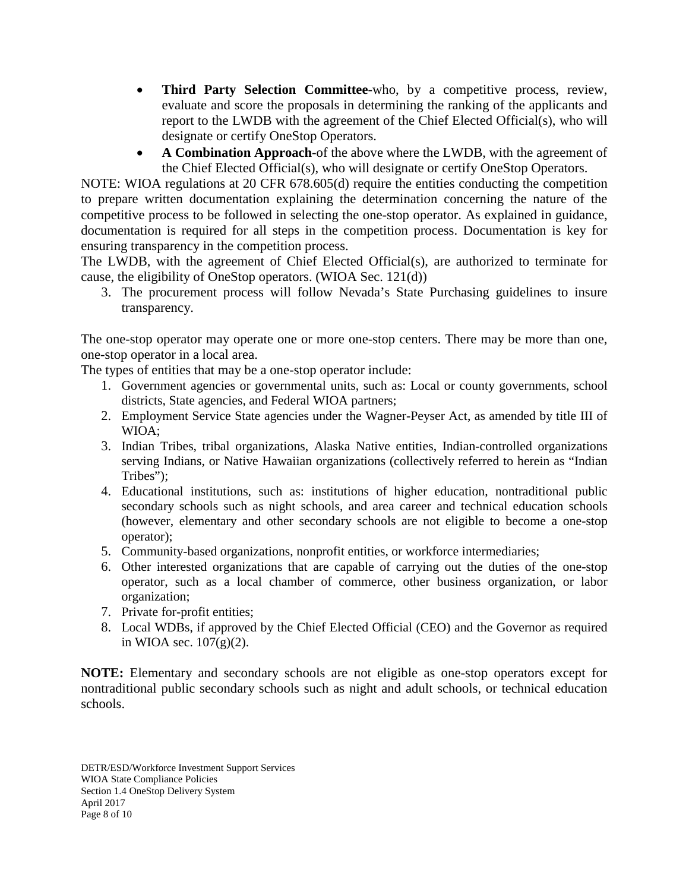- **Third Party Selection Committee-who, by a competitive process, review,** evaluate and score the proposals in determining the ranking of the applicants and report to the LWDB with the agreement of the Chief Elected Official(s), who will designate or certify OneStop Operators.
- **A Combination Approach**-of the above where the LWDB, with the agreement of the Chief Elected Official(s), who will designate or certify OneStop Operators.

NOTE: WIOA regulations at 20 CFR 678.605(d) require the entities conducting the competition to prepare written documentation explaining the determination concerning the nature of the competitive process to be followed in selecting the one-stop operator. As explained in guidance, documentation is required for all steps in the competition process. Documentation is key for ensuring transparency in the competition process.

The LWDB, with the agreement of Chief Elected Official(s), are authorized to terminate for cause, the eligibility of OneStop operators. (WIOA Sec. 121(d))

3. The procurement process will follow Nevada's State Purchasing guidelines to insure transparency.

The one-stop operator may operate one or more one-stop centers. There may be more than one, one-stop operator in a local area.

The types of entities that may be a one-stop operator include:

- 1. Government agencies or governmental units, such as: Local or county governments, school districts, State agencies, and Federal WIOA partners;
- 2. Employment Service State agencies under the Wagner-Peyser Act, as amended by title III of WIOA;
- 3. Indian Tribes, tribal organizations, Alaska Native entities, Indian-controlled organizations serving Indians, or Native Hawaiian organizations (collectively referred to herein as "Indian Tribes");
- 4. Educational institutions, such as: institutions of higher education, nontraditional public secondary schools such as night schools, and area career and technical education schools (however, elementary and other secondary schools are not eligible to become a one-stop operator);
- 5. Community-based organizations, nonprofit entities, or workforce intermediaries;
- 6. Other interested organizations that are capable of carrying out the duties of the one-stop operator, such as a local chamber of commerce, other business organization, or labor organization;
- 7. Private for-profit entities;
- 8. Local WDBs, if approved by the Chief Elected Official (CEO) and the Governor as required in WIOA sec.  $107(g)(2)$ .

**NOTE:** Elementary and secondary schools are not eligible as one-stop operators except for nontraditional public secondary schools such as night and adult schools, or technical education schools.

DETR/ESD/Workforce Investment Support Services WIOA State Compliance Policies Section 1.4 OneStop Delivery System April 2017 Page 8 of 10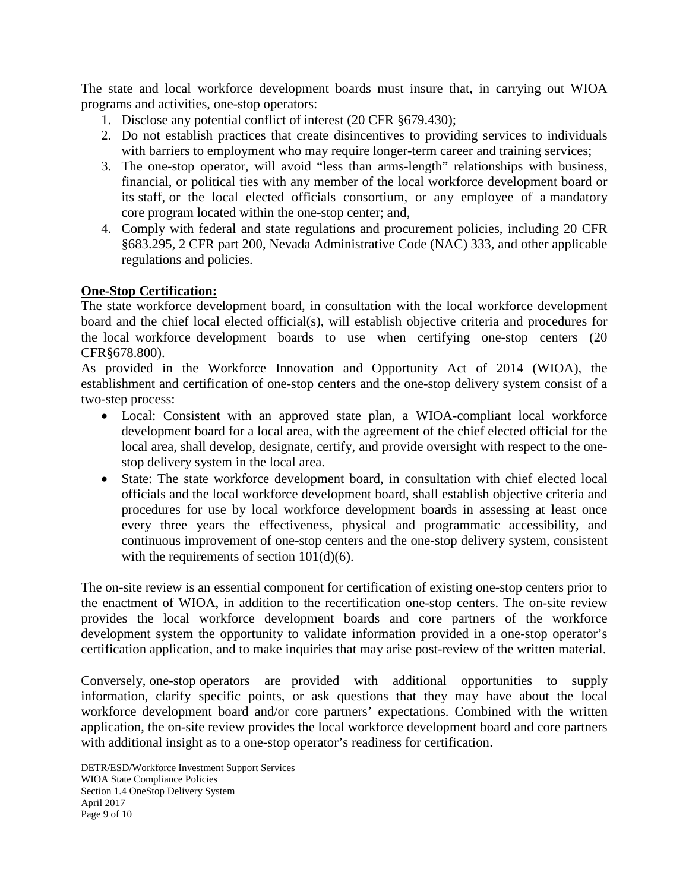The state and local workforce development boards must insure that, in carrying out WIOA programs and activities, one-stop operators:

- 1. Disclose any potential conflict of interest (20 CFR §679.430);
- 2. Do not establish practices that create disincentives to providing services to individuals with barriers to employment who may require longer-term career and training services;
- 3. The one-stop operator, will avoid "less than arms-length" relationships with business, financial, or political ties with any member of the local workforce development board or its staff, or the local elected officials consortium, or any employee of a mandatory core program located within the one-stop center; and,
- 4. Comply with federal and state regulations and procurement policies, including 20 CFR §683.295, 2 CFR part 200, Nevada Administrative Code (NAC) 333, and other applicable regulations and policies.

## **One-Stop Certification:**

The state workforce development board, in consultation with the local workforce development board and the chief local elected official(s), will establish objective criteria and procedures for the local workforce development boards to use when certifying one-stop centers (20 CFR§678.800).

As provided in the Workforce Innovation and Opportunity Act of 2014 (WIOA), the establishment and certification of one-stop centers and the one-stop delivery system consist of a two-step process:

- Local: Consistent with an approved state plan, a WIOA-compliant local workforce development board for a local area, with the agreement of the chief elected official for the local area, shall develop, designate, certify, and provide oversight with respect to the onestop delivery system in the local area.
- State: The state workforce development board, in consultation with chief elected local officials and the local workforce development board, shall establish objective criteria and procedures for use by local workforce development boards in assessing at least once every three years the effectiveness, physical and programmatic accessibility, and continuous improvement of one-stop centers and the one-stop delivery system, consistent with the requirements of section  $101(d)(6)$ .

The on-site review is an essential component for certification of existing one-stop centers prior to the enactment of WIOA, in addition to the recertification one-stop centers. The on-site review provides the local workforce development boards and core partners of the workforce development system the opportunity to validate information provided in a one-stop operator's certification application, and to make inquiries that may arise post-review of the written material.

Conversely, one-stop operators are provided with additional opportunities to supply information, clarify specific points, or ask questions that they may have about the local workforce development board and/or core partners' expectations. Combined with the written application, the on-site review provides the local workforce development board and core partners with additional insight as to a one-stop operator's readiness for certification.

DETR/ESD/Workforce Investment Support Services WIOA State Compliance Policies Section 1.4 OneStop Delivery System April 2017 Page 9 of 10